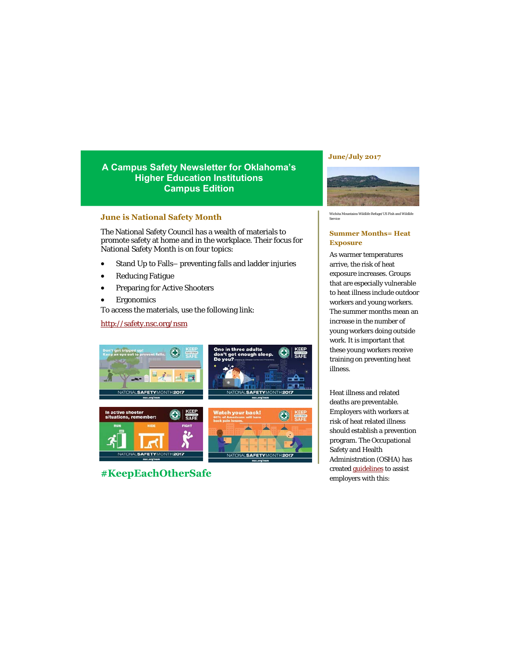# **A Campus Safety Newsletter for Oklahoma's Higher Education Institutions Campus Edition**

### **June is National Safety Month**

The National Safety Council has a wealth of materials to promote safety at home and in the workplace. Their focus for National Safety Month is on four topics:

- Stand Up to Falls– preventing falls and ladder injuries
- Reducing Fatigue
- Preparing for Active Shooters
- Ergonomics

To access the materials, use the following link:

## <http://safety.nsc.org/nsm>



**#KeepEachOtherSafe**

#### **June/July 2017**



Wichita Mountains Wildlife Refuge/US Fish and Wildlife Service

### **Summer Months= Heat Exposure**

As warmer temperatures arrive, the risk of heat exposure increases. Groups that are especially vulnerable to heat illness include outdoor workers and young workers. The summer months mean an increase in the number of young workers doing outside work. It is important that these young workers receive training on preventing heat illness.

Heat illness and related deaths are preventable. Employers with workers at risk of heat related illness should establish a prevention program. The Occupational Safety and Health Administration (OSHA) has created [guidelines](https://www.osha.gov/SLTC/heatillness/index.html) to assist employers with this: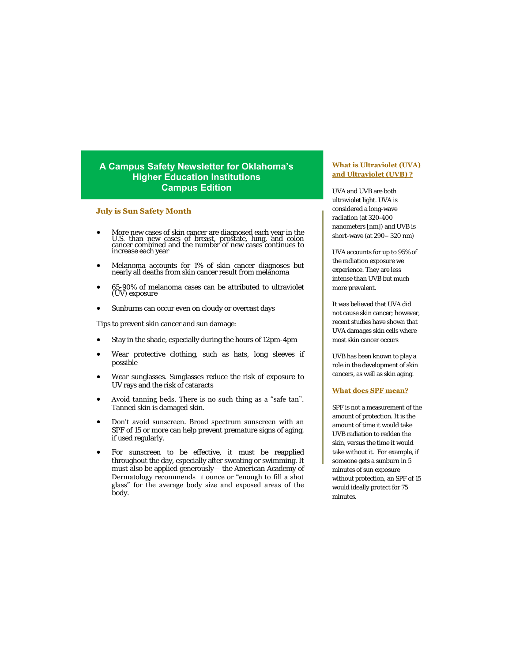# **A Campus Safety Newsletter for Oklahoma's Higher Education Institutions Campus Edition**

#### **July is Sun Safety Month**

- More new cases of skin cancer are diagnosed each year in the U.S. than new cases of breast, prostate, lung, and colon cancer combined and the number of new cases continues to increase each year
- Melanoma accounts for 1% of skin cancer diagnoses but nearly all deaths from skin cancer result from melanoma
- 65-90% of melanoma cases can be attributed to ultraviolet (UV) exposure
- Sunburns can occur even on cloudy or overcast days

Tips to prevent skin cancer and sun damage:

- Stay in the shade, especially during the hours of 12pm-4pm
- Wear protective clothing, such as hats, long sleeves if possible
- Wear sunglasses. Sunglasses reduce the risk of exposure to UV rays and the risk of cataracts
- Avoid tanning beds. There is no such thing as a "safe tan". Tanned skin is damaged skin.
- Don't avoid sunscreen. Broad spectrum sunscreen with an SPF of 15 or more can help prevent premature signs of aging, if used regularly.
- For sunscreen to be effective, it must be reapplied throughout the day, especially after sweating or swimming. It must also be applied generously— the American Academy of Dermatology recommends 1 ounce or "enough to fill a shot glass" for the average body size and exposed areas of the body.

#### **What is Ultraviolet (UVA) and Ultraviolet (UVB) ?**

UVA and UVB are both ultraviolet light. UVA is considered a long-wave radiation (at 320-400 nanometers [nm]) and UVB is short-wave (at 290– 320 nm)

UVA accounts for up to 95% of the radiation exposure we experience. They are less intense than UVB but much more prevalent.

It was believed that UVA did not cause skin cancer; however, recent studies have shown that UVA damages skin cells where most skin cancer occurs

UVB has been known to play a role in the development of skin cancers, as well as skin aging.

#### **What does SPF mean?**

SPF is not a measurement of the amount of protection. It is the amount of time it would take UVB radiation to redden the skin, versus the time it would take without it. For example, if someone gets a sunburn in 5 minutes of sun exposure without protection, an SPF of 15 would ideally protect for 75 minutes.